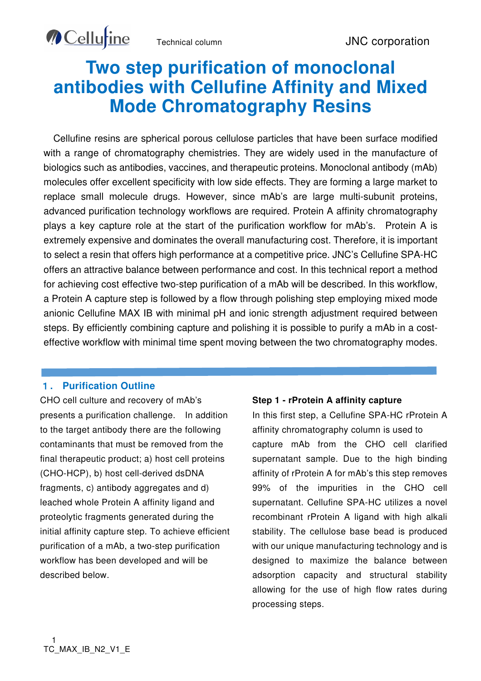# **Two step purification of monoclonal antibodies with Cellufine Affinity and Mixed Mode Chromatography Resins**

Cellufine resins are spherical porous cellulose particles that have been surface modified with a range of chromatography chemistries. They are widely used in the manufacture of biologics such as antibodies, vaccines, and therapeutic proteins. Monoclonal antibody (mAb) molecules offer excellent specificity with low side effects. They are forming a large market to replace small molecule drugs. However, since mAb's are large multi-subunit proteins, advanced purification technology workflows are required. Protein A affinity chromatography plays a key capture role at the start of the purification workflow for mAb's. Protein A is extremely expensive and dominates the overall manufacturing cost. Therefore, it is important to select a resin that offers high performance at a competitive price. JNC's Cellufine SPA-HC offers an attractive balance between performance and cost. In this technical report a method for achieving cost effective two-step purification of a mAb will be described. In this workflow, a Protein A capture step is followed by a flow through polishing step employing mixed mode anionic Cellufine MAX IB with minimal pH and ionic strength adjustment required between steps. By efficiently combining capture and polishing it is possible to purify a mAb in a costeffective workflow with minimal time spent moving between the two chromatography modes.

#### 1**. Purification Outline**

**O** Cellurine

ī

CHO cell culture and recovery of mAb's presents a purification challenge. In addition to the target antibody there are the following contaminants that must be removed from the final therapeutic product; a) host cell proteins (CHO-HCP), b) host cell-derived dsDNA fragments, c) antibody aggregates and d) leached whole Protein A affinity ligand and proteolytic fragments generated during the initial affinity capture step. To achieve efficient purification of a mAb, a two-step purification workflow has been developed and will be described below.

#### **Step 1 - rProtein A affinity capture**

In this first step, a Cellufine SPA-HC rProtein A affinity chromatography column is used to capture mAb from the CHO cell clarified supernatant sample. Due to the high binding affinity of rProtein A for mAb's this step removes 99% of the impurities in the CHO cell supernatant. Cellufine SPA-HC utilizes a novel recombinant rProtein A ligand with high alkali stability. The cellulose base bead is produced with our unique manufacturing technology and is designed to maximize the balance between adsorption capacity and structural stability allowing for the use of high flow rates during processing steps.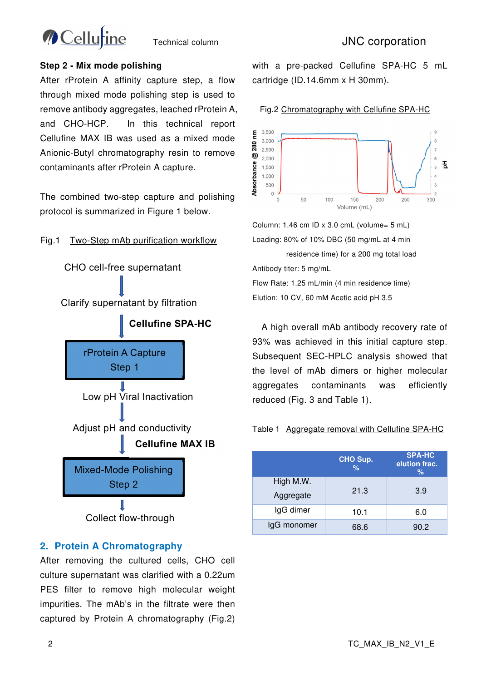

#### **Step 2 - Mix mode polishing**

After rProtein A affinity capture step, a flow through mixed mode polishing step is used to remove antibody aggregates, leached rProtein A, and CHO-HCP. In this technical report Cellufine MAX IB was used as a mixed mode Anionic-Butyl chromatography resin to remove contaminants after rProtein A capture.

The combined two-step capture and polishing protocol is summarized in Figure 1 below.

#### Fig.1 Two-Step mAb purification workflow



### **2. Protein A Chromatography**

After removing the cultured cells, CHO cell culture supernatant was clarified with a 0.22um PES filter to remove high molecular weight impurities. The mAb's in the filtrate were then captured by Protein A chromatography (Fig.2)

with a pre-packed Cellufine SPA-HC 5 mL cartridge (ID.14.6mm x H 30mm).

Fig.2 Chromatography with Cellufine SPA-HC



Column: 1.46 cm ID x 3.0 cmL (volume= 5 mL) Loading: 80% of 10% DBC (50 mg/mL at 4 min

 residence time) for a 200 mg total load Antibody titer: 5 mg/mL Flow Rate: 1.25 mL/min (4 min residence time) Elution: 10 CV, 60 mM Acetic acid pH 3.5

A high overall mAb antibody recovery rate of 93% was achieved in this initial capture step. Subsequent SEC-HPLC analysis showed that the level of mAb dimers or higher molecular aggregates contaminants was efficiently reduced (Fig. 3 and Table 1).

#### Table1 Aggregate removal with Cellufine SPA-HC

|                        | CHO Sup.<br>$\%$ | <b>SPA-HC</b><br>elution frac.<br>$\%$ |
|------------------------|------------------|----------------------------------------|
| High M.W.<br>Aggregate | 21.3             | 3.9                                    |
| IgG dimer              | 10.1             | 6.0                                    |
| IgG monomer            | 68.6             | 90.2                                   |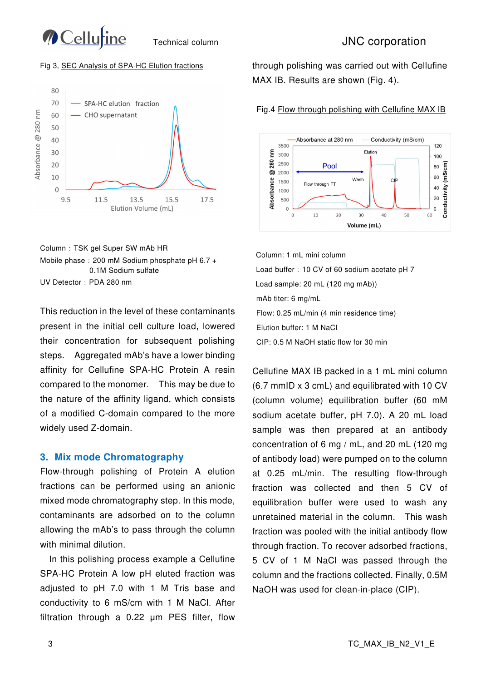

#### Fig 3, SEC Analysis of SPA-HC Elution fractions





This reduction in the level of these contaminants present in the initial cell culture load, lowered their concentration for subsequent polishing steps. Aggregated mAb's have a lower binding affinity for Cellufine SPA-HC Protein A resin compared to the monomer. This may be due to the nature of the affinity ligand, which consists of a modified C-domain compared to the more widely used Z-domain.

#### **3. Mix mode Chromatography**

Flow-through polishing of Protein A elution fractions can be performed using an anionic mixed mode chromatography step. In this mode, contaminants are adsorbed on to the column allowing the mAb's to pass through the column with minimal dilution.

In this polishing process example a Cellufine SPA-HC Protein A low pH eluted fraction was adjusted to pH 7.0 with 1 M Tris base and conductivity to 6 mS/cm with 1 M NaCl. After filtration through a 0.22 um PES filter, flow

through polishing was carried out with Cellufine MAX IB. Results are shown (Fig. 4).



Fig.4 Flow through polishing with Cellufine MAX IB

Column: 1 mL mini column Load buffer: 10 CV of 60 sodium acetate pH 7 Load sample: 20 mL (120 mg mAb)) mAb titer: 6 mg/mL Flow: 0.25 mL/min (4 min residence time) Elution buffer: 1 M NaCl CIP: 0.5 M NaOH static flow for 30 min

Cellufine MAX IB packed in a 1 mL mini column (6.7 mmID x 3 cmL) and equilibrated with 10 CV (column volume) equilibration buffer (60 mM sodium acetate buffer, pH 7.0). A 20 mL load sample was then prepared at an antibody concentration of 6 mg / mL, and 20 mL (120 mg of antibody load) were pumped on to the column at 0.25 mL/min. The resulting flow-through fraction was collected and then 5 CV of equilibration buffer were used to wash any unretained material in the column. This wash fraction was pooled with the initial antibody flow through fraction. To recover adsorbed fractions, 5 CV of 1 M NaCl was passed through the column and the fractions collected. Finally, 0.5M NaOH was used for clean-in-place (CIP).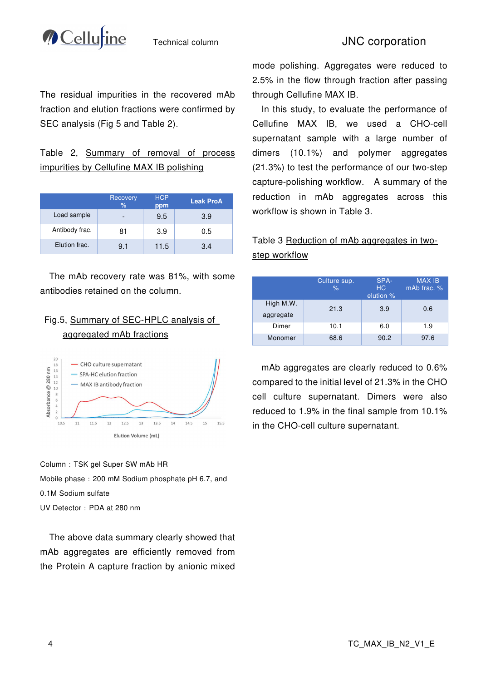

# Technical column **INC** corporation

The residual impurities in the recovered mAb fraction and elution fractions were confirmed by SEC analysis (Fig 5 and Table 2).

## Table 2, Summary of removal of process impurities by Cellufine MAX IB polishing

|                | Recovery<br>$\%$         | <b>HCP</b><br>ppm | <b>Leak ProA</b> |
|----------------|--------------------------|-------------------|------------------|
| Load sample    | $\overline{\phantom{0}}$ | 9.5               | 3.9              |
| Antibody frac. | 81                       | 3.9               | 0.5              |
| Elution frac.  | 9.1                      | 11.5              | 3.4              |

The mAb recovery rate was 81%, with some antibodies retained on the column.

# Fig.5, Summary of SEC-HPLC analysis of aggregated mAb fractions



Column:TSK gel Super SW mAb HR Mobile phase: 200 mM Sodium phosphate pH 6.7, and 0.1M Sodium sulfate UV Detector:PDA at 280 nm

The above data summary clearly showed that mAb aggregates are efficiently removed from the Protein A capture fraction by anionic mixed

mode polishing. Aggregates were reduced to 2.5% in the flow through fraction after passing through Cellufine MAX IB.

In this study, to evaluate the performance of Cellufine MAX IB, we used a CHO-cell supernatant sample with a large number of dimers (10.1%) and polymer aggregates (21.3%) to test the performance of our two-step capture-polishing workflow. A summary of the reduction in mAb aggregates across this workflow is shown in Table 3.

## Table 3 Reduction of mAb aggregates in twostep workflow

|                        | Culture sup.<br>$\%$ | SPA-<br>HC.<br>elution % | <b>MAX IB</b><br>mAb frac. % |
|------------------------|----------------------|--------------------------|------------------------------|
| High M.W.<br>aggregate | 21.3                 | 3.9                      | 0.6                          |
| Dimer                  | 10.1                 | 6.0                      | 1.9                          |
| Monomer                | 68.6                 | 90.2                     | 97.6                         |

mAb aggregates are clearly reduced to 0.6% compared to the initial level of 21.3% in the CHO cell culture supernatant. Dimers were also reduced to 1.9% in the final sample from 10.1% in the CHO-cell culture supernatant.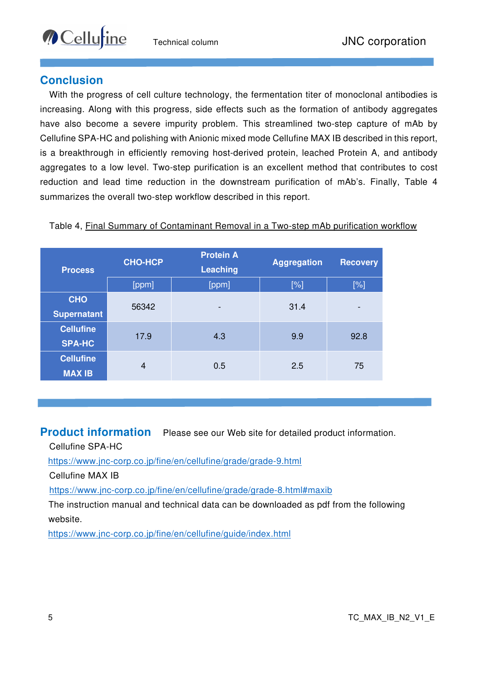# **Conclusion**

**O** Cellurine

With the progress of cell culture technology, the fermentation titer of monoclonal antibodies is increasing. Along with this progress, side effects such as the formation of antibody aggregates have also become a severe impurity problem. This streamlined two-step capture of mAb by Cellufine SPA-HC and polishing with Anionic mixed mode Cellufine MAX IB described in this report, is a breakthrough in efficiently removing host-derived protein, leached Protein A, and antibody aggregates to a low level. Two-step purification is an excellent method that contributes to cost reduction and lead time reduction in the downstream purification of mAb's. Finally, Table 4 summarizes the overall two-step workflow described in this report.

|  |  | Table 4, Final Summary of Contaminant Removal in a Two-step mAb purification workflow |  |
|--|--|---------------------------------------------------------------------------------------|--|
|--|--|---------------------------------------------------------------------------------------|--|

| <b>Process</b>                    | <b>CHO-HCP</b> | <b>Protein A</b><br><b>Leaching</b> | <b>Aggregation</b> | <b>Recovery</b> |
|-----------------------------------|----------------|-------------------------------------|--------------------|-----------------|
|                                   | [ppm]          | [ppm]                               | [%]                | [%]             |
| <b>CHO</b><br><b>Supernatant</b>  | 56342          | $\overline{\phantom{0}}$            | 31.4               | -               |
| <b>Cellufine</b><br><b>SPA-HC</b> | 17.9           | 4.3                                 | 9.9                | 92.8            |
| <b>Cellufine</b><br><b>MAX IB</b> | $\overline{4}$ | 0.5                                 | 2.5                | 75              |

**Product information** Please see our Web site for detailed product information.

Cellufine SPA-HC

https://www.jnc-corp.co.jp/fine/en/cellufine/grade/grade-9.html

Cellufine MAX IB

https://www.jnc-corp.co.jp/fine/en/cellufine/grade/grade-8.html#maxib

The instruction manual and technical data can be downloaded as pdf from the following website.

https://www.jnc-corp.co.jp/fine/en/cellufine/guide/index.html